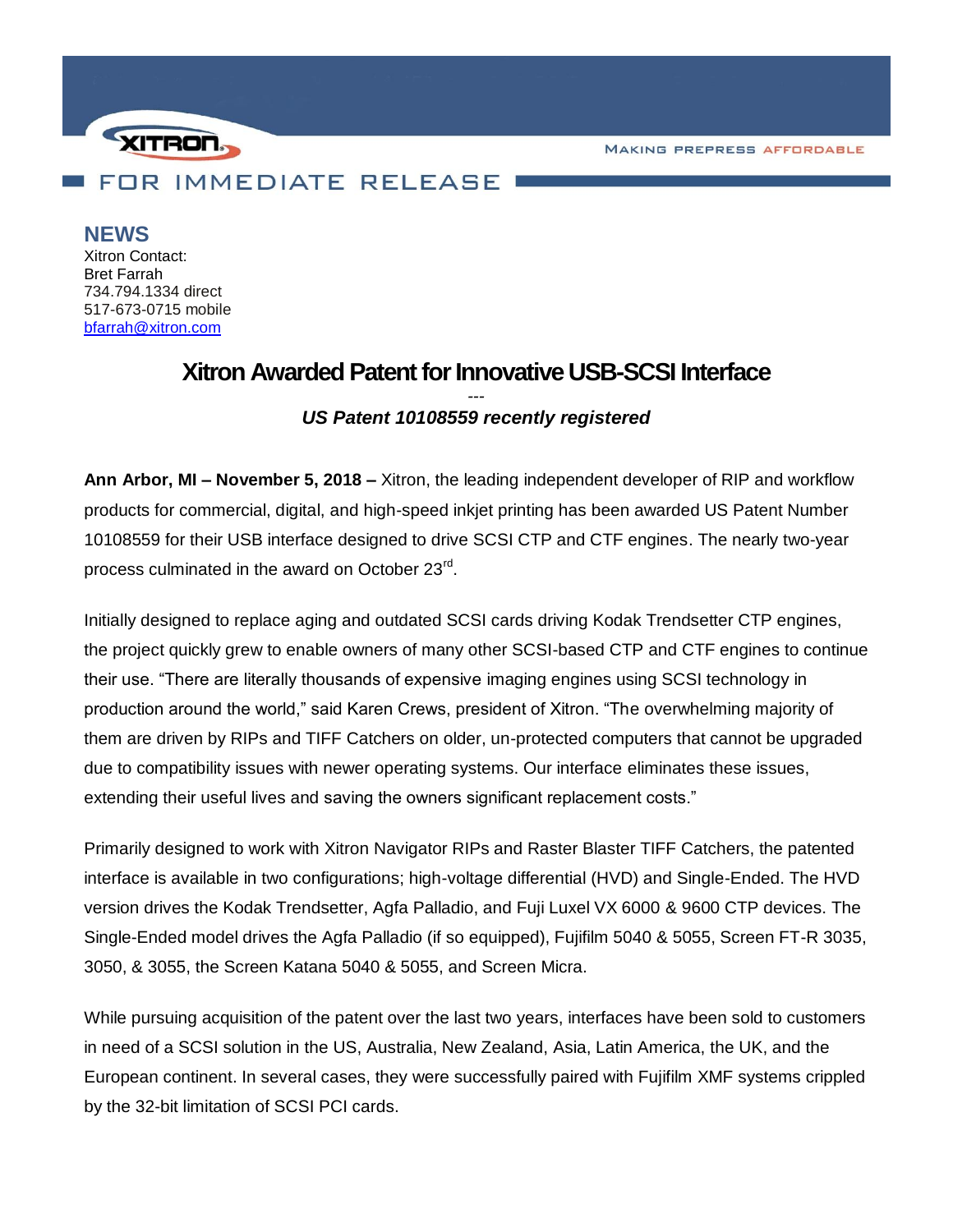**MAKING PREPRESS AFFORDABLE** 



**NEWS**

Xitron Contact: Bret Farrah 734.794.1334 direct 517-673-0715 mobile [bfarrah@xitron.com](mailto:bfarrah@xitron.com)

## **Xitron Awarded Patent for Innovative USB-SCSI Interface** *--- US Patent 10108559 recently registered*

**Ann Arbor, MI – November 5, 2018 –** Xitron, the leading independent developer of RIP and workflow products for commercial, digital, and high-speed inkjet printing has been awarded US Patent Number 10108559 for their USB interface designed to drive SCSI CTP and CTF engines. The nearly two-year process culminated in the award on October 23<sup>rd</sup>.

Initially designed to replace aging and outdated SCSI cards driving Kodak Trendsetter CTP engines, the project quickly grew to enable owners of many other SCSI-based CTP and CTF engines to continue their use. "There are literally thousands of expensive imaging engines using SCSI technology in production around the world," said Karen Crews, president of Xitron. "The overwhelming majority of them are driven by RIPs and TIFF Catchers on older, un-protected computers that cannot be upgraded due to compatibility issues with newer operating systems. Our interface eliminates these issues, extending their useful lives and saving the owners significant replacement costs."

Primarily designed to work with Xitron Navigator RIPs and Raster Blaster TIFF Catchers, the patented interface is available in two configurations; high-voltage differential (HVD) and Single-Ended. The HVD version drives the Kodak Trendsetter, Agfa Palladio, and Fuji Luxel VX 6000 & 9600 CTP devices. The Single-Ended model drives the Agfa Palladio (if so equipped), Fujifilm 5040 & 5055, Screen FT-R 3035, 3050, & 3055, the Screen Katana 5040 & 5055, and Screen Micra.

While pursuing acquisition of the patent over the last two years, interfaces have been sold to customers in need of a SCSI solution in the US, Australia, New Zealand, Asia, Latin America, the UK, and the European continent. In several cases, they were successfully paired with Fujifilm XMF systems crippled by the 32-bit limitation of SCSI PCI cards.